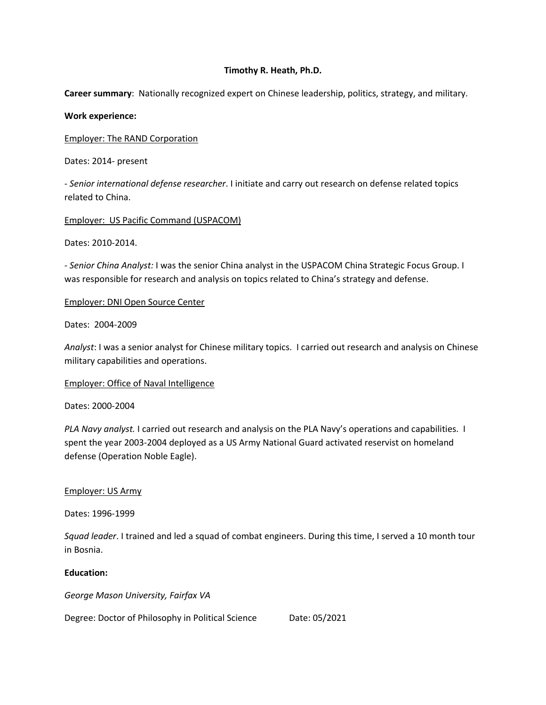## **Timothy R. Heath, Ph.D.**

**Career summary**: Nationally recognized expert on Chinese leadership, politics, strategy, and military.

#### **Work experience:**

Employer: The RAND Corporation

Dates: 2014- present

- *Senior international defense researcher*. I initiate and carry out research on defense related topics related to China.

Employer: US Pacific Command (USPACOM)

Dates: 2010-2014.

- *Senior China Analyst:* I was the senior China analyst in the USPACOM China Strategic Focus Group. I was responsible for research and analysis on topics related to China's strategy and defense.

#### Employer: DNI Open Source Center

Dates: 2004-2009

*Analyst*: I was a senior analyst for Chinese military topics. I carried out research and analysis on Chinese military capabilities and operations.

Employer: Office of Naval Intelligence

Dates: 2000-2004

*PLA Navy analyst.* I carried out research and analysis on the PLA Navy's operations and capabilities. I spent the year 2003-2004 deployed as a US Army National Guard activated reservist on homeland defense (Operation Noble Eagle).

### Employer: US Army

Dates: 1996-1999

*Squad leader*. I trained and led a squad of combat engineers. During this time, I served a 10 month tour in Bosnia.

## **Education:**

*George Mason University, Fairfax VA*

Degree: Doctor of Philosophy in Political Science Date: 05/2021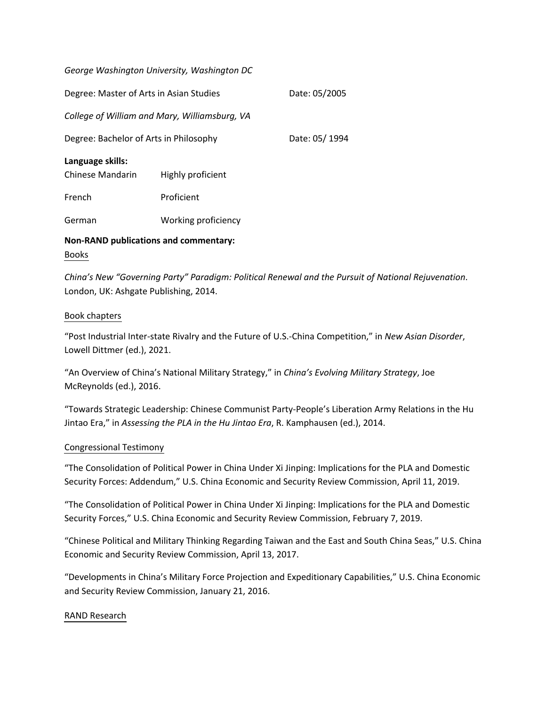| George Washington University, Washington DC   |                     |               |
|-----------------------------------------------|---------------------|---------------|
| Degree: Master of Arts in Asian Studies       |                     | Date: 05/2005 |
| College of William and Mary, Williamsburg, VA |                     |               |
| Degree: Bachelor of Arts in Philosophy        |                     | Date: 05/1994 |
| Language skills:<br>Chinese Mandarin          | Highly proficient   |               |
| French                                        | Proficient          |               |
| German                                        | Working proficiency |               |
| <b>Non-RAND publications and commentary:</b>  |                     |               |

#### Books

*China's New "Governing Party" Paradigm: Political Renewal and the Pursuit of National Rejuvenation*. London, UK: Ashgate Publishing, 2014.

### Book chapters

"Post Industrial Inter-state Rivalry and the Future of U.S.-China Competition," in *New Asian Disorder*, Lowell Dittmer (ed.), 2021.

"An Overview of China's National Military Strategy," in *China's Evolving Military Strategy*, Joe McReynolds (ed.), 2016.

"Towards Strategic Leadership: Chinese Communist Party-People's Liberation Army Relations in the Hu Jintao Era," in *Assessing the PLA in the Hu Jintao Era*, R. Kamphausen (ed.), 2014.

### Congressional Testimony

"The Consolidation of Political Power in China Under Xi Jinping: Implications for the PLA and Domestic Security Forces: Addendum," U.S. China Economic and Security Review Commission, April 11, 2019.

"The Consolidation of Political Power in China Under Xi Jinping: Implications for the PLA and Domestic Security Forces," U.S. China Economic and Security Review Commission, February 7, 2019.

"Chinese Political and Military Thinking Regarding Taiwan and the East and South China Seas," U.S. China Economic and Security Review Commission, April 13, 2017.

"Developments in China's Military Force Projection and Expeditionary Capabilities," U.S. China Economic and Security Review Commission, January 21, 2016.

#### RAND Research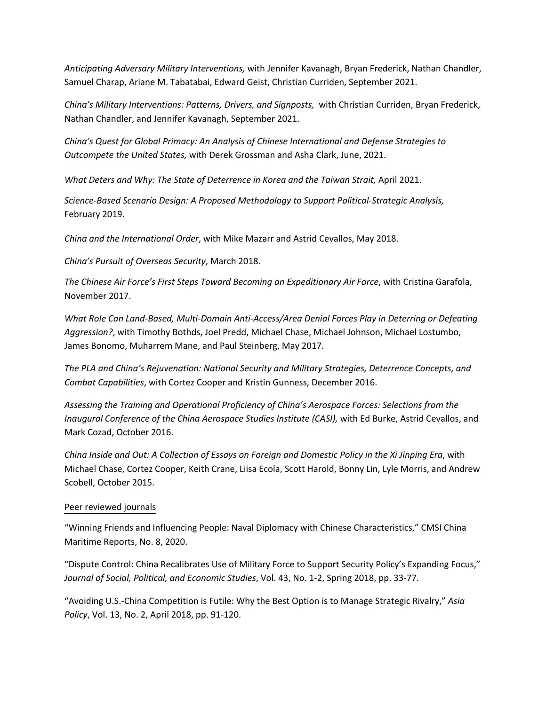*Anticipating Adversary Military Interventions,* with Jennifer Kavanagh, Bryan Frederick, Nathan Chandler, Samuel Charap, Ariane M. Tabatabai, Edward Geist, Christian Curriden, September 2021.

*China's Military Interventions: Patterns, Drivers, and Signposts,* with Christian Curriden, Bryan Frederick, Nathan Chandler, and Jennifer Kavanagh, September 2021.

*China's Quest for Global Primacy: An Analysis of Chinese International and Defense Strategies to Outcompete the United States,* with Derek Grossman and Asha Clark, June, 2021.

*What Deters and Why: The State of Deterrence in Korea and the Taiwan Strait,* April 2021.

*Science-Based Scenario Design: A Proposed Methodology to Support Political-Strategic Analysis,* February 2019.

*China and the International Order*, with Mike Mazarr and Astrid Cevallos, May 2018.

*China's Pursuit of Overseas Security*, March 2018.

*The Chinese Air Force's First Steps Toward Becoming an Expeditionary Air Force*, with Cristina Garafola, November 2017.

*What Role Can Land-Based, Multi-Domain Anti-Access/Area Denial Forces Play in Deterring or Defeating Aggression?*, with Timothy Bothds, Joel Predd, Michael Chase, Michael Johnson, Michael Lostumbo, James Bonomo, Muharrem Mane, and Paul Steinberg, May 2017.

*The PLA and China's Rejuvenation: National Security and Military Strategies, Deterrence Concepts, and Combat Capabilities*, with Cortez Cooper and Kristin Gunness, December 2016.

*Assessing the Training and Operational Proficiency of China's Aerospace Forces: Selections from the Inaugural Conference of the China Aerospace Studies Institute (CASI),* with Ed Burke, Astrid Cevallos, and Mark Cozad, October 2016.

*China Inside and Out: A Collection of Essays on Foreign and Domestic Policy in the Xi Jinping Era*, with Michael Chase, Cortez Cooper, Keith Crane, Liisa Ecola, Scott Harold, Bonny Lin, Lyle Morris, and Andrew Scobell, October 2015.

# Peer reviewed journals

"Winning Friends and Influencing People: Naval Diplomacy with Chinese Characteristics," CMSI China Maritime Reports, No. 8, 2020.

"Dispute Control: China Recalibrates Use of Military Force to Support Security Policy's Expanding Focus," *Journal of Social, Political, and Economic Studies*, Vol. 43, No. 1-2, Spring 2018, pp. 33-77.

"Avoiding U.S.-China Competition is Futile: Why the Best Option is to Manage Strategic Rivalry," *Asia Policy*, Vol. 13, No. 2, April 2018, pp. 91-120.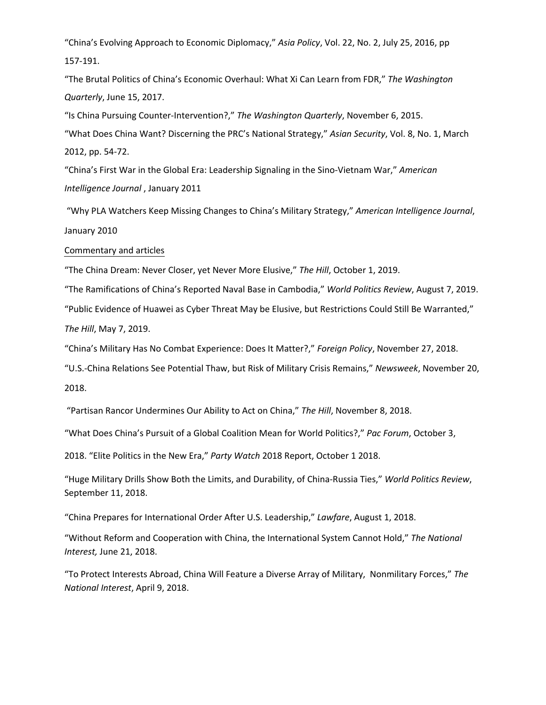"China's Evolving Approach to Economic Diplomacy," *Asia Policy*, Vol. 22, No. 2, July 25, 2016, pp 157-191.

"The Brutal Politics of China's Economic Overhaul: What Xi Can Learn from FDR," *The Washington Quarterly*, June 15, 2017.

"Is China Pursuing Counter-Intervention?," *The Washington Quarterly*, November 6, 2015.

"What Does China Want? Discerning the PRC's National Strategy," *Asian Security*, Vol. 8, No. 1, March 2012, pp. 54-72.

"China's First War in the Global Era: Leadership Signaling in the Sino-Vietnam War," *American Intelligence Journal* , January 2011

"Why PLA Watchers Keep Missing Changes to China's Military Strategy," *American Intelligence Journal*, January 2010

#### Commentary and articles

"The China Dream: Never Closer, yet Never More Elusive," *The Hill*, October 1, 2019.

"The Ramifications of China's Reported Naval Base in Cambodia," *World Politics Review*, August 7, 2019.

"Public Evidence of Huawei as Cyber Threat May be Elusive, but Restrictions Could Still Be Warranted,"

*The Hill*, May 7, 2019.

"China's Military Has No Combat Experience: Does It Matter?," *Foreign Policy*, November 27, 2018.

"U.S.-China Relations See Potential Thaw, but Risk of Military Crisis Remains," *Newsweek*, November 20,

2018.

"Partisan Rancor Undermines Our Ability to Act on China," *The Hill*, November 8, 2018.

"What Does China's Pursuit of a Global Coalition Mean for World Politics?," *Pac Forum*, October 3,

2018. "Elite Politics in the New Era," *Party Watch* 2018 Report, October 1 2018.

"Huge Military Drills Show Both the Limits, and Durability, of China-Russia Ties," *World Politics Review*, September 11, 2018.

"China Prepares for International Order After U.S. Leadership," *Lawfare*, August 1, 2018.

"Without Reform and Cooperation with China, the International System Cannot Hold," *The National Interest,* June 21, 2018.

"To Protect Interests Abroad, China Will Feature a Diverse Array of Military, Nonmilitary Forces," *The National Interest*, April 9, 2018.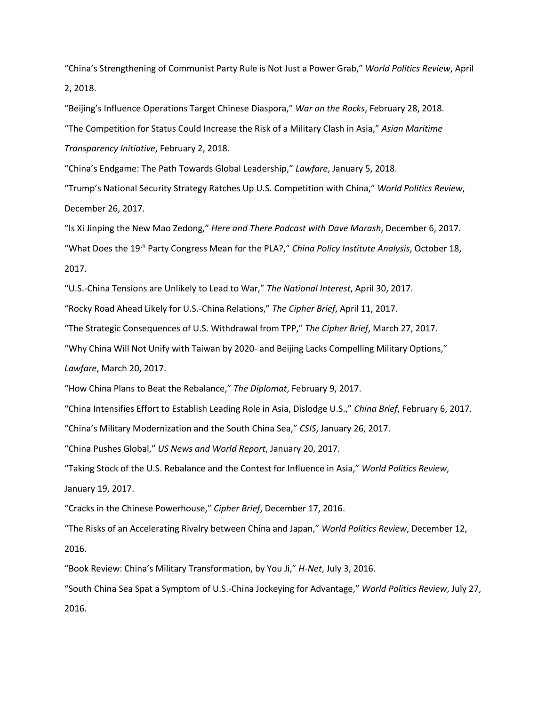"China's Strengthening of Communist Party Rule is Not Just a Power Grab," *World Politics Review*, April 2, 2018.

"Beijing's Influence Operations Target Chinese Diaspora," *War on the Rocks*, February 28, 2018. "The Competition for Status Could Increase the Risk of a Military Clash in Asia," *Asian Maritime Transparency Initiative*, February 2, 2018.

"China's Endgame: The Path Towards Global Leadership," *Lawfare*, January 5, 2018.

"Trump's National Security Strategy Ratches Up U.S. Competition with China," *World Politics Review*, December 26, 2017.

"Is Xi Jinping the New Mao Zedong," *Here and There Podcast with Dave Marash*, December 6, 2017. "What Does the 19th Party Congress Mean for the PLA?," *China Policy Institute Analysis*, October 18, 2017.

"U.S.-China Tensions are Unlikely to Lead to War," *The National Interest*, April 30, 2017.

"Rocky Road Ahead Likely for U.S.-China Relations," *The Cipher Brief*, April 11, 2017.

"The Strategic Consequences of U.S. Withdrawal from TPP," *The Cipher Brief*, March 27, 2017.

"Why China Will Not Unify with Taiwan by 2020- and Beijing Lacks Compelling Military Options,"

*Lawfare*, March 20, 2017.

"How China Plans to Beat the Rebalance," *The Diplomat*, February 9, 2017.

"China Intensifies Effort to Establish Leading Role in Asia, Dislodge U.S.," *China Brief*, February 6, 2017.

"China's Military Modernization and the South China Sea," *CSIS*, January 26, 2017.

"China Pushes Global," *US News and World Report*, January 20, 2017.

"Taking Stock of the U.S. Rebalance and the Contest for Influence in Asia," *World Politics Review*, January 19, 2017.

"Cracks in the Chinese Powerhouse," *Cipher Brief*, December 17, 2016.

"The Risks of an Accelerating Rivalry between China and Japan," *World Politics Review*, December 12,

2016.

"Book Review: China's Military Transformation, by You Ji," *H-Net*, July 3, 2016.

"South China Sea Spat a Symptom of U.S.-China Jockeying for Advantage," *World Politics Review*, July 27, 2016.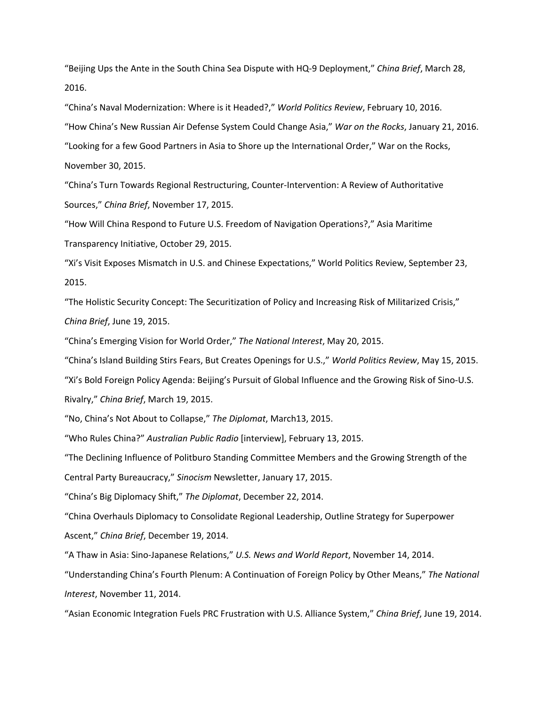"Beijing Ups the Ante in the South China Sea Dispute with HQ-9 Deployment," *China Brief*, March 28, 2016.

"China's Naval Modernization: Where is it Headed?," *World Politics Review*, February 10, 2016.

"How China's New Russian Air Defense System Could Change Asia," *War on the Rocks*, January 21, 2016.

"Looking for a few Good Partners in Asia to Shore up the International Order," War on the Rocks, November 30, 2015.

"China's Turn Towards Regional Restructuring, Counter-Intervention: A Review of Authoritative Sources," *China Brief*, November 17, 2015.

"How Will China Respond to Future U.S. Freedom of Navigation Operations?," Asia Maritime Transparency Initiative, October 29, 2015.

"Xi's Visit Exposes Mismatch in U.S. and Chinese Expectations," World Politics Review, September 23, 2015.

"The Holistic Security Concept: The Securitization of Policy and Increasing Risk of Militarized Crisis," *China Brief*, June 19, 2015.

"China's Emerging Vision for World Order," *The National Interest*, May 20, 2015.

"China's Island Building Stirs Fears, But Creates Openings for U.S.," *World Politics Review*, May 15, 2015.

"Xi's Bold Foreign Policy Agenda: Beijing's Pursuit of Global Influence and the Growing Risk of Sino-U.S.

Rivalry," *China Brief*, March 19, 2015.

"No, China's Not About to Collapse," *The Diplomat*, March13, 2015.

"Who Rules China?" *Australian Public Radio* [interview], February 13, 2015.

"The Declining Influence of Politburo Standing Committee Members and the Growing Strength of the

Central Party Bureaucracy," *Sinocism* Newsletter, January 17, 2015.

"China's Big Diplomacy Shift," *The Diplomat*, December 22, 2014.

"China Overhauls Diplomacy to Consolidate Regional Leadership, Outline Strategy for Superpower Ascent," *China Brief*, December 19, 2014.

"A Thaw in Asia: Sino-Japanese Relations," *U.S. News and World Report*, November 14, 2014.

"Understanding China's Fourth Plenum: A Continuation of Foreign Policy by Other Means," *The National Interest*, November 11, 2014.

"Asian Economic Integration Fuels PRC Frustration with U.S. Alliance System," *China Brief*, June 19, 2014.